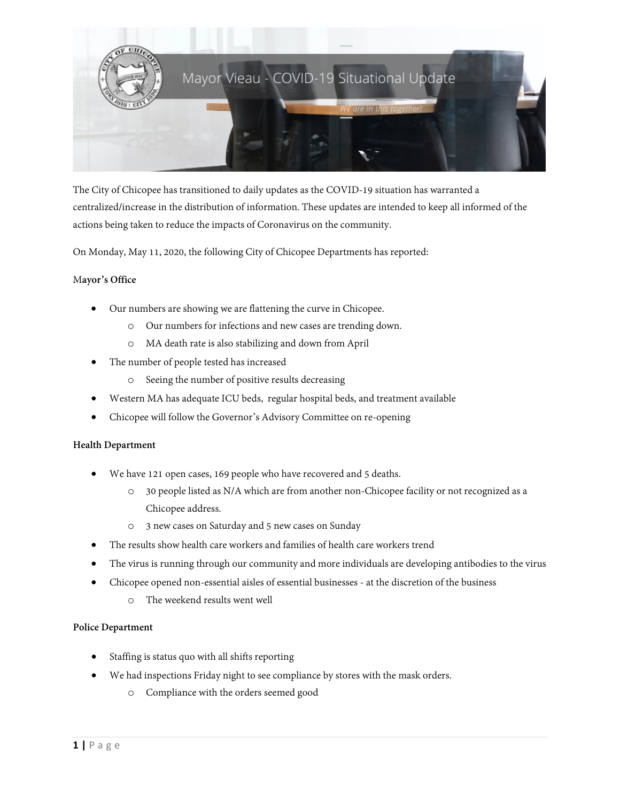

The City of Chicopee has transitioned to daily updates as the COVID-19 situation has warranted a centralized/increase in the distribution of information. These updates are intended to keep all informed of the actions being taken to reduce the impacts of Coronavirus on the community.

On Monday, May 11, 2020, the following City of Chicopee Departments has reported:

# M**ayor's Office**

- Our numbers are showing we are flattening the curve in Chicopee.
	- o Our numbers for infections and new cases are trending down.
	- o MA death rate is also stabilizing and down from April
- The number of people tested has increased
	- o Seeing the number of positive results decreasing
- Western MA has adequate ICU beds, regular hospital beds, and treatment available
- Chicopee will follow the Governor's Advisory Committee on re-opening

# **Health Department**

- We have 121 open cases, 169 people who have recovered and 5 deaths.
	- o 30 people listed as N/A which are from another non-Chicopee facility or not recognized as a Chicopee address.
	- o 3 new cases on Saturday and 5 new cases on Sunday
- The results show health care workers and families of health care workers trend
- The virus is running through our community and more individuals are developing antibodies to the virus
- Chicopee opened non-essential aisles of essential businesses at the discretion of the business
	- o The weekend results went well

# **Police Department**

- Staffing is status quo with all shifts reporting
- We had inspections Friday night to see compliance by stores with the mask orders.
	- o Compliance with the orders seemed good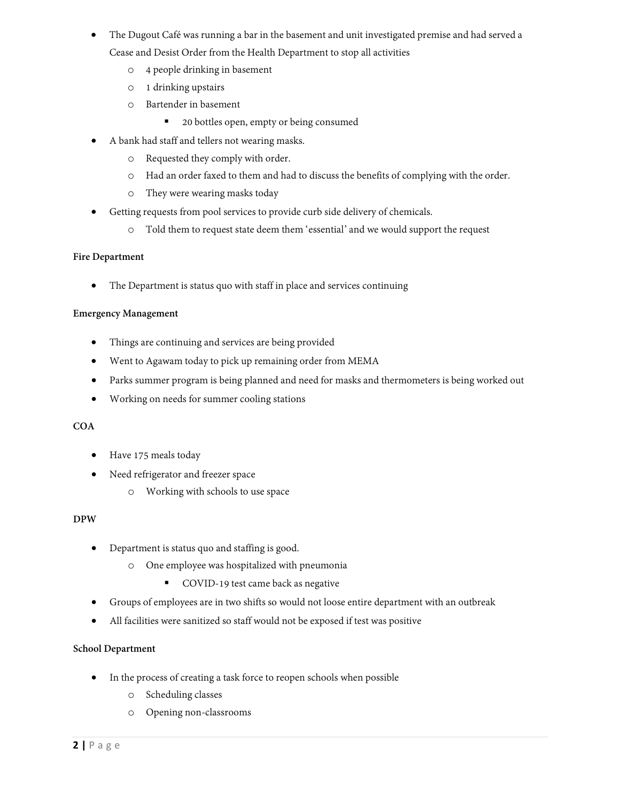- The Dugout Café was running a bar in the basement and unit investigated premise and had served a Cease and Desist Order from the Health Department to stop all activities
	- o 4 people drinking in basement
	- o 1 drinking upstairs
	- o Bartender in basement
		- 20 bottles open, empty or being consumed
- A bank had staff and tellers not wearing masks.
	- o Requested they comply with order.
	- o Had an order faxed to them and had to discuss the benefits of complying with the order.
	- o They were wearing masks today
- Getting requests from pool services to provide curb side delivery of chemicals.
	- o Told them to request state deem them 'essential' and we would support the request

## **Fire Department**

The Department is status quo with staff in place and services continuing

## **Emergency Management**

- Things are continuing and services are being provided
- Went to Agawam today to pick up remaining order from MEMA
- Parks summer program is being planned and need for masks and thermometers is being worked out
- Working on needs for summer cooling stations

# **COA**

- Have 175 meals today
- Need refrigerator and freezer space
	- o Working with schools to use space

# **DPW**

- Department is status quo and staffing is good.
	- o One employee was hospitalized with pneumonia
		- COVID-19 test came back as negative
- Groups of employees are in two shifts so would not loose entire department with an outbreak
- All facilities were sanitized so staff would not be exposed if test was positive

# **School Department**

- In the process of creating a task force to reopen schools when possible
	- o Scheduling classes
	- o Opening non-classrooms